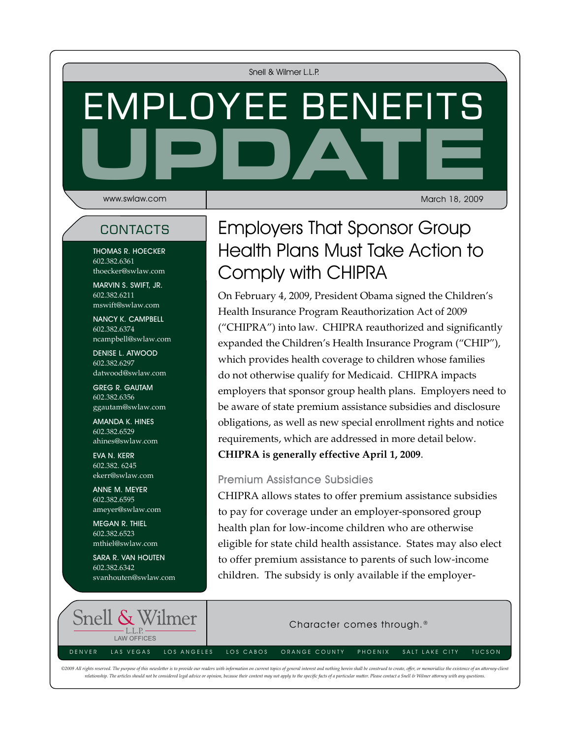Snell & Wilmer L.L.P.

# UPDATE Employee Benefits

www.swlaw.com

March 18, 2009

Thomas R. Hoecker 602.382.6361 thoecker@swlaw.com

marvin s. swift, Jr. 602.382.6211 mswift@swlaw.com

nancy k. campbell 602.382.6374 ncampbell@swlaw.com

denise l. atwood 602.382.6297 datwood@swlaw.com

Greg R. Gautam 602.382.6356 ggautam@swlaw.com

Amanda K. Hines 602.382.6529 ahines@swlaw.com

EVA N. KERR 602.382. 6245 ekerr@swlaw.com

anne m. meyer 602.382.6595 ameyer@swlaw.com

megan r. thiel 602.382.6523 mthiel@swlaw.com

sara r. van houten 602.382.6342 svanhouten@swlaw.com

# contacts | Employers That Sponsor Group Health Plans Must Take Action to Comply with CHIPRA

On February 4, 2009, President Obama signed the Children's Health Insurance Program Reauthorization Act of 2009 ("CHIPRA") into law. CHIPRA reauthorized and significantly expanded the Children's Health Insurance Program ("CHIP"), which provides health coverage to children whose families do not otherwise qualify for Medicaid. CHIPRA impacts employers that sponsor group health plans. Employers need to be aware of state premium assistance subsidies and disclosure obligations, as well as new special enrollment rights and notice requirements, which are addressed in more detail below. **CHIPRA is generally effective April 1, 2009**.

#### Premium Assistance Subsidies

CHIPRA allows states to offer premium assistance subsidies to pay for coverage under an employer-sponsored group health plan for low-income children who are otherwise eligible for state child health assistance. States may also elect to offer premium assistance to parents of such low-income children. The subsidy is only available if the employer-



©2009 All rights reserved. The purpose of this newsletter is to provide our readers with information on current topics of general interest and nothing herein shall be construed to create, offer, or memorialize the existenc relationship. The articles should not be considered legal advice or opinion, because their content may not apply to the specific facts of a particular matter. Please contact a Snell & Wilmer attorney with any questions.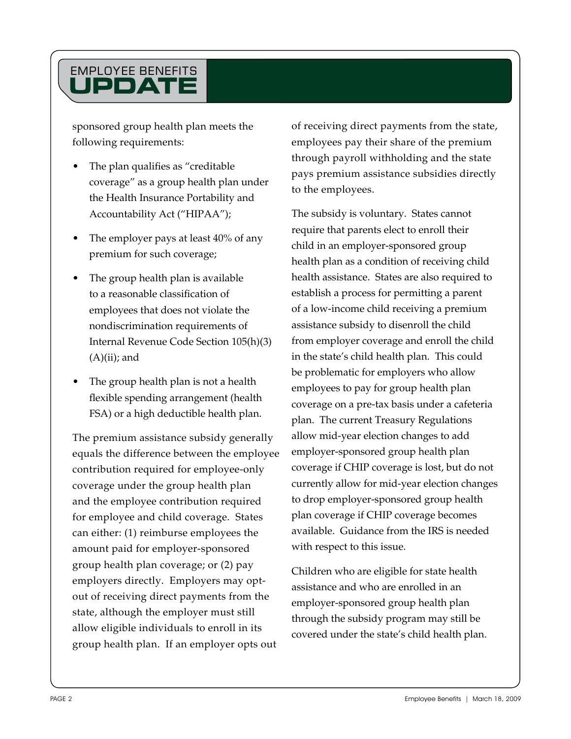# **UPDAT** Employee Benefits

sponsored group health plan meets the following requirements:

- The plan qualifies as "creditable" coverage" as a group health plan under the Health Insurance Portability and Accountability Act ("HIPAA");
- The employer pays at least 40% of any premium for such coverage;
- The group health plan is available to a reasonable classification of employees that does not violate the nondiscrimination requirements of Internal Revenue Code Section 105(h)(3)  $(A)(ii)$ ; and
- The group health plan is not a health flexible spending arrangement (health FSA) or a high deductible health plan.

The premium assistance subsidy generally equals the difference between the employee contribution required for employee-only coverage under the group health plan and the employee contribution required for employee and child coverage. States can either: (1) reimburse employees the amount paid for employer-sponsored group health plan coverage; or (2) pay employers directly. Employers may optout of receiving direct payments from the state, although the employer must still allow eligible individuals to enroll in its group health plan. If an employer opts out

of receiving direct payments from the state, employees pay their share of the premium through payroll withholding and the state pays premium assistance subsidies directly to the employees.

The subsidy is voluntary. States cannot require that parents elect to enroll their child in an employer-sponsored group health plan as a condition of receiving child health assistance. States are also required to establish a process for permitting a parent of a low-income child receiving a premium assistance subsidy to disenroll the child from employer coverage and enroll the child in the state's child health plan. This could be problematic for employers who allow employees to pay for group health plan coverage on a pre-tax basis under a cafeteria plan. The current Treasury Regulations allow mid-year election changes to add employer-sponsored group health plan coverage if CHIP coverage is lost, but do not currently allow for mid-year election changes to drop employer-sponsored group health plan coverage if CHIP coverage becomes available. Guidance from the IRS is needed with respect to this issue.

Children who are eligible for state health assistance and who are enrolled in an employer-sponsored group health plan through the subsidy program may still be covered under the state's child health plan.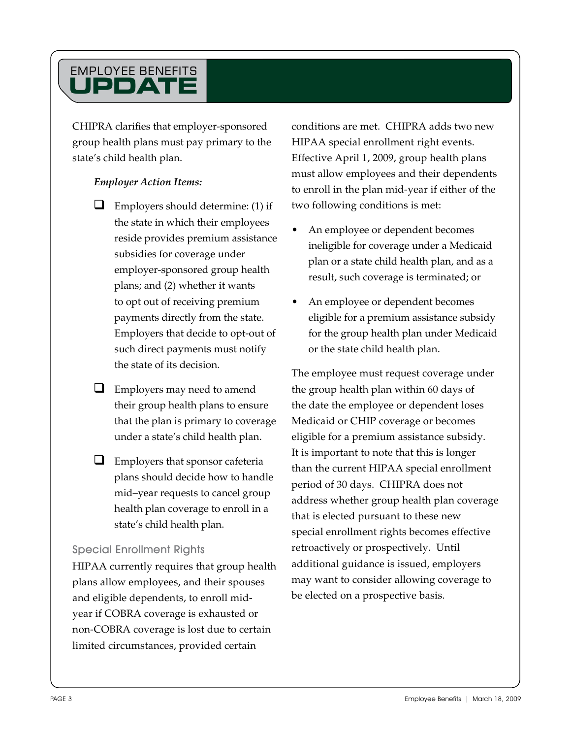# **UPDAT** Employee Benefits

CHIPRA clarifies that employer-sponsored group health plans must pay primary to the state's child health plan.

#### *Employer Action Items:*

- $\Box$  Employers should determine: (1) if the state in which their employees reside provides premium assistance subsidies for coverage under employer-sponsored group health plans; and (2) whether it wants to opt out of receiving premium payments directly from the state. Employers that decide to opt-out of such direct payments must notify the state of its decision.
- $\Box$  Employers may need to amend their group health plans to ensure that the plan is primary to coverage under a state's child health plan.
- $\Box$  Employers that sponsor cafeteria plans should decide how to handle mid–year requests to cancel group health plan coverage to enroll in a state's child health plan.

#### Special Enrollment Rights

HIPAA currently requires that group health plans allow employees, and their spouses and eligible dependents, to enroll midyear if COBRA coverage is exhausted or non-COBRA coverage is lost due to certain limited circumstances, provided certain

conditions are met. CHIPRA adds two new HIPAA special enrollment right events. Effective April 1, 2009, group health plans must allow employees and their dependents to enroll in the plan mid-year if either of the two following conditions is met:

- An employee or dependent becomes ineligible for coverage under a Medicaid plan or a state child health plan, and as a result, such coverage is terminated; or
- An employee or dependent becomes eligible for a premium assistance subsidy for the group health plan under Medicaid or the state child health plan.

The employee must request coverage under the group health plan within 60 days of the date the employee or dependent loses Medicaid or CHIP coverage or becomes eligible for a premium assistance subsidy. It is important to note that this is longer than the current HIPAA special enrollment period of 30 days. CHIPRA does not address whether group health plan coverage that is elected pursuant to these new special enrollment rights becomes effective retroactively or prospectively. Until additional guidance is issued, employers may want to consider allowing coverage to be elected on a prospective basis.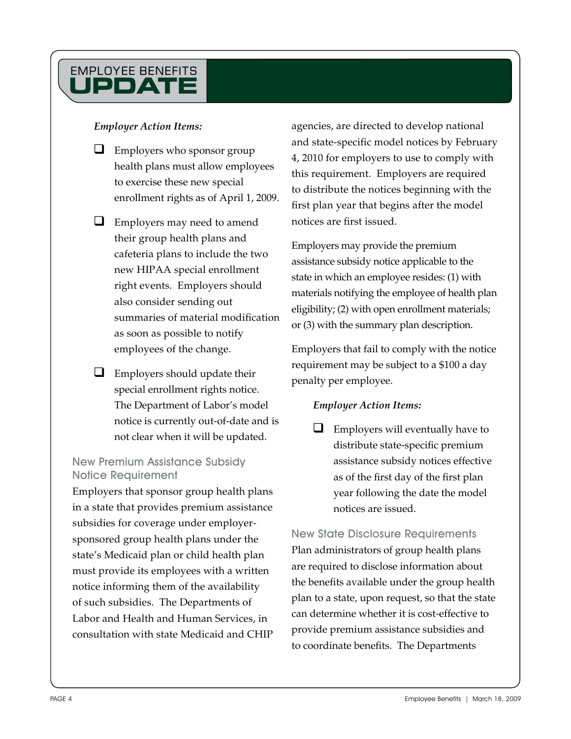# **UPDATE** Employee Benefits

#### *Employer Action Items:*

- $\Box$  Employers who sponsor group health plans must allow employees to exercise these new special enrollment rights as of April 1, 2009.
- **L** Employers may need to amend their group health plans and cafeteria plans to include the two new HIPAA special enrollment right events. Employers should also consider sending out summaries of material modification as soon as possible to notify employees of the change.
- $\Box$  Employers should update their special enrollment rights notice. The Department of Labor's model notice is currently out-of-date and is not clear when it will be updated.

#### New Premium Assistance Subsidy Notice Requirement

Employers that sponsor group health plans in a state that provides premium assistance subsidies for coverage under employersponsored group health plans under the state's Medicaid plan or child health plan must provide its employees with a written notice informing them of the availability of such subsidies. The Departments of Labor and Health and Human Services, in consultation with state Medicaid and CHIP

agencies, are directed to develop national and state-specific model notices by February 4, 2010 for employers to use to comply with this requirement. Employers are required to distribute the notices beginning with the first plan year that begins after the model notices are first issued.

Employers may provide the premium assistance subsidy notice applicable to the state in which an employee resides: (1) with materials notifying the employee of health plan eligibility; (2) with open enrollment materials; or (3) with the summary plan description.

Employers that fail to comply with the notice requirement may be subject to a \$100 a day penalty per employee.

### *Employer Action Items:*

 $\Box$  Employers will eventually have to distribute state-specific premium assistance subsidy notices effective as of the first day of the first plan year following the date the model notices are issued.

New State Disclosure Requirements Plan administrators of group health plans are required to disclose information about the benefits available under the group health plan to a state, upon request, so that the state can determine whether it is cost-effective to provide premium assistance subsidies and to coordinate benefits. The Departments